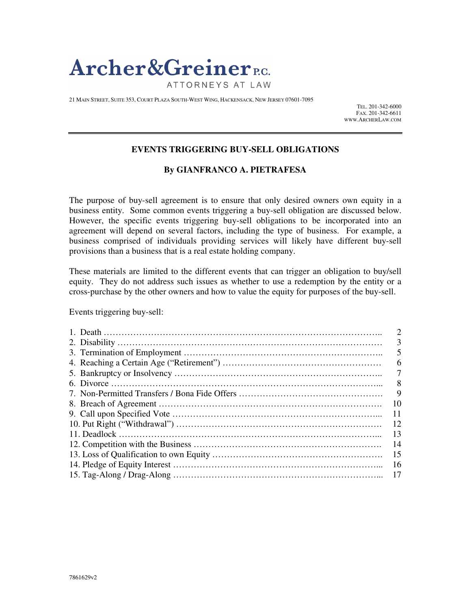

21 MAIN STREET, SUITE 353, COURT PLAZA SOUTH-WEST WING, HACKENSACK, NEW JERSEY 07601-7095

TEL. 201-342-6000 FAX. 201-342-6611 WWW.ARCHERLAW.COM

### **EVENTS TRIGGERING BUY-SELL OBLIGATIONS**

### **By GIANFRANCO A. PIETRAFESA**

The purpose of buy-sell agreement is to ensure that only desired owners own equity in a business entity. Some common events triggering a buy-sell obligation are discussed below. However, the specific events triggering buy-sell obligations to be incorporated into an agreement will depend on several factors, including the type of business. For example, a business comprised of individuals providing services will likely have different buy-sell provisions than a business that is a real estate holding company.

These materials are limited to the different events that can trigger an obligation to buy/sell equity. They do not address such issues as whether to use a redemption by the entity or a cross-purchase by the other owners and how to value the equity for purposes of the buy-sell.

Events triggering buy-sell:

| 3  |
|----|
|    |
| 6  |
|    |
| 8  |
| 9  |
| 10 |
| 11 |
| 12 |
| 13 |
| 14 |
| 15 |
| 16 |
| 17 |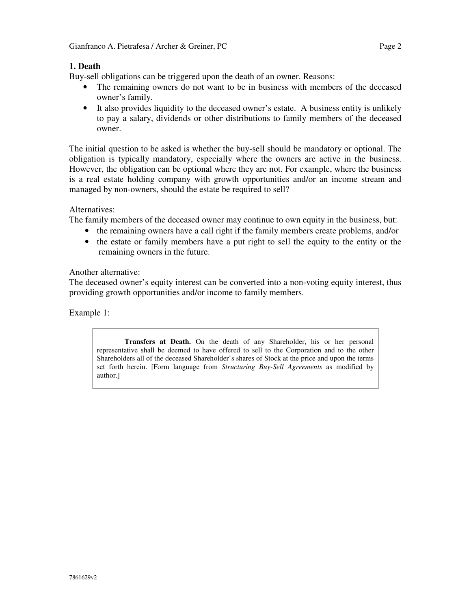# **1. Death**

Buy-sell obligations can be triggered upon the death of an owner. Reasons:

- The remaining owners do not want to be in business with members of the deceased owner's family.
- It also provides liquidity to the deceased owner's estate. A business entity is unlikely to pay a salary, dividends or other distributions to family members of the deceased owner.

The initial question to be asked is whether the buy-sell should be mandatory or optional. The obligation is typically mandatory, especially where the owners are active in the business. However, the obligation can be optional where they are not. For example, where the business is a real estate holding company with growth opportunities and/or an income stream and managed by non-owners, should the estate be required to sell?

# Alternatives:

The family members of the deceased owner may continue to own equity in the business, but:

- the remaining owners have a call right if the family members create problems, and/or
- the estate or family members have a put right to sell the equity to the entity or the remaining owners in the future.

## Another alternative:

The deceased owner's equity interest can be converted into a non-voting equity interest, thus providing growth opportunities and/or income to family members.

Example 1:

**Transfers at Death.** On the death of any Shareholder, his or her personal representative shall be deemed to have offered to sell to the Corporation and to the other Shareholders all of the deceased Shareholder's shares of Stock at the price and upon the terms set forth herein. [Form language from *Structuring Buy-Sell Agreements* as modified by author.]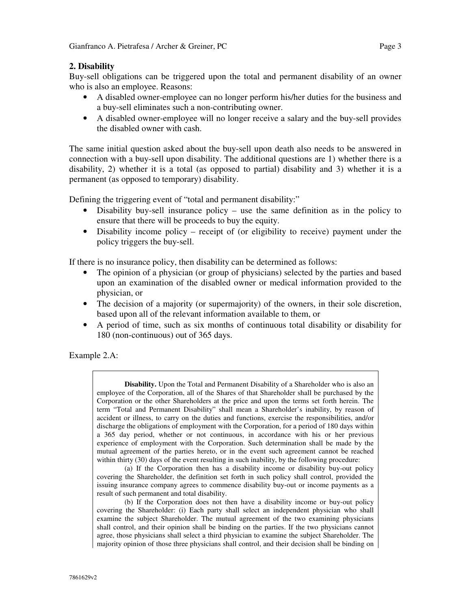### **2. Disability**

Buy-sell obligations can be triggered upon the total and permanent disability of an owner who is also an employee. Reasons:

- A disabled owner-employee can no longer perform his/her duties for the business and a buy-sell eliminates such a non-contributing owner.
- A disabled owner-employee will no longer receive a salary and the buy-sell provides the disabled owner with cash.

The same initial question asked about the buy-sell upon death also needs to be answered in connection with a buy-sell upon disability. The additional questions are 1) whether there is a disability, 2) whether it is a total (as opposed to partial) disability and 3) whether it is a permanent (as opposed to temporary) disability.

Defining the triggering event of "total and permanent disability:"

- Disability buy-sell insurance policy use the same definition as in the policy to ensure that there will be proceeds to buy the equity.
- Disability income policy receipt of (or eligibility to receive) payment under the policy triggers the buy-sell.

If there is no insurance policy, then disability can be determined as follows:

- The opinion of a physician (or group of physicians) selected by the parties and based upon an examination of the disabled owner or medical information provided to the physician, or
- The decision of a majority (or supermajority) of the owners, in their sole discretion, based upon all of the relevant information available to them, or
- A period of time, such as six months of continuous total disability or disability for 180 (non-continuous) out of 365 days.

Example 2.A:

**Disability.** Upon the Total and Permanent Disability of a Shareholder who is also an employee of the Corporation, all of the Shares of that Shareholder shall be purchased by the Corporation or the other Shareholders at the price and upon the terms set forth herein. The term "Total and Permanent Disability" shall mean a Shareholder's inability, by reason of accident or illness, to carry on the duties and functions, exercise the responsibilities, and/or discharge the obligations of employment with the Corporation, for a period of 180 days within a 365 day period, whether or not continuous, in accordance with his or her previous experience of employment with the Corporation. Such determination shall be made by the mutual agreement of the parties hereto, or in the event such agreement cannot be reached within thirty (30) days of the event resulting in such inability, by the following procedure:

(a) If the Corporation then has a disability income or disability buy-out policy covering the Shareholder, the definition set forth in such policy shall control, provided the issuing insurance company agrees to commence disability buy-out or income payments as a result of such permanent and total disability.

(b) If the Corporation does not then have a disability income or buy-out policy covering the Shareholder: (i) Each party shall select an independent physician who shall examine the subject Shareholder. The mutual agreement of the two examining physicians shall control, and their opinion shall be binding on the parties. If the two physicians cannot agree, those physicians shall select a third physician to examine the subject Shareholder. The majority opinion of those three physicians shall control, and their decision shall be binding on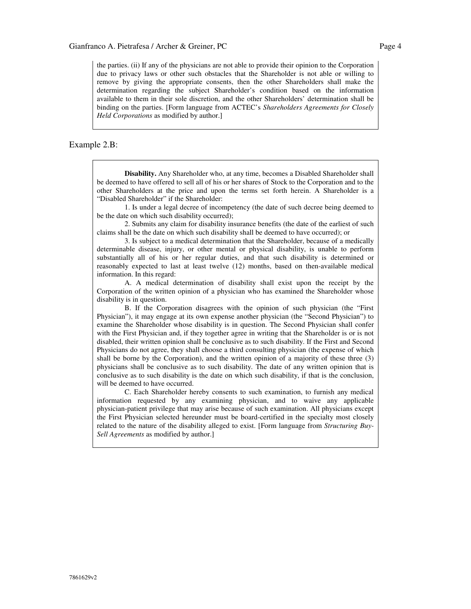the parties. (ii) If any of the physicians are not able to provide their opinion to the Corporation due to privacy laws or other such obstacles that the Shareholder is not able or willing to remove by giving the appropriate consents, then the other Shareholders shall make the determination regarding the subject Shareholder's condition based on the information available to them in their sole discretion, and the other Shareholders' determination shall be binding on the parties. [Form language from ACTEC's *Shareholders Agreements for Closely Held Corporations* as modified by author.]

#### Example 2.B:

**Disability.** Any Shareholder who, at any time, becomes a Disabled Shareholder shall be deemed to have offered to sell all of his or her shares of Stock to the Corporation and to the other Shareholders at the price and upon the terms set forth herein. A Shareholder is a "Disabled Shareholder" if the Shareholder:

1. Is under a legal decree of incompetency (the date of such decree being deemed to be the date on which such disability occurred);

2. Submits any claim for disability insurance benefits (the date of the earliest of such claims shall be the date on which such disability shall be deemed to have occurred); or

3. Is subject to a medical determination that the Shareholder, because of a medically determinable disease, injury, or other mental or physical disability, is unable to perform substantially all of his or her regular duties, and that such disability is determined or reasonably expected to last at least twelve (12) months, based on then-available medical information. In this regard:

A. A medical determination of disability shall exist upon the receipt by the Corporation of the written opinion of a physician who has examined the Shareholder whose disability is in question.

B. If the Corporation disagrees with the opinion of such physician (the "First Physician"), it may engage at its own expense another physician (the "Second Physician") to examine the Shareholder whose disability is in question. The Second Physician shall confer with the First Physician and, if they together agree in writing that the Shareholder is or is not disabled, their written opinion shall be conclusive as to such disability. If the First and Second Physicians do not agree, they shall choose a third consulting physician (the expense of which shall be borne by the Corporation), and the written opinion of a majority of these three (3) physicians shall be conclusive as to such disability. The date of any written opinion that is conclusive as to such disability is the date on which such disability, if that is the conclusion, will be deemed to have occurred.

C. Each Shareholder hereby consents to such examination, to furnish any medical information requested by any examining physician, and to waive any applicable physician-patient privilege that may arise because of such examination. All physicians except the First Physician selected hereunder must be board-certified in the specialty most closely related to the nature of the disability alleged to exist. [Form language from *Structuring Buy-Sell Agreements* as modified by author.]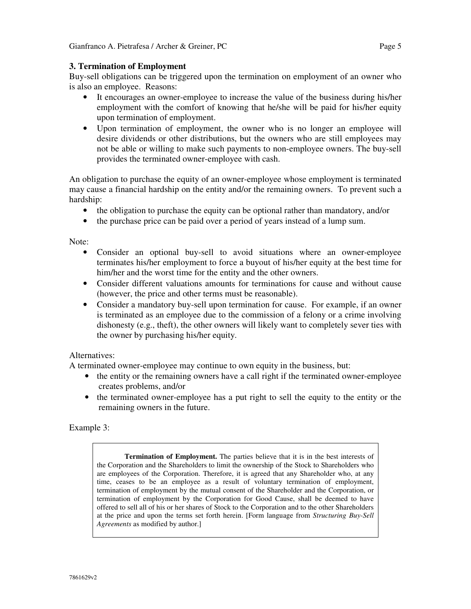### **3. Termination of Employment**

Buy-sell obligations can be triggered upon the termination on employment of an owner who is also an employee. Reasons:

- It encourages an owner-employee to increase the value of the business during his/her employment with the comfort of knowing that he/she will be paid for his/her equity upon termination of employment.
- Upon termination of employment, the owner who is no longer an employee will desire dividends or other distributions, but the owners who are still employees may not be able or willing to make such payments to non-employee owners. The buy-sell provides the terminated owner-employee with cash.

An obligation to purchase the equity of an owner-employee whose employment is terminated may cause a financial hardship on the entity and/or the remaining owners. To prevent such a hardship:

- the obligation to purchase the equity can be optional rather than mandatory, and/or
- the purchase price can be paid over a period of years instead of a lump sum.

Note:

- Consider an optional buy-sell to avoid situations where an owner-employee terminates his/her employment to force a buyout of his/her equity at the best time for him/her and the worst time for the entity and the other owners.
- Consider different valuations amounts for terminations for cause and without cause (however, the price and other terms must be reasonable).
- Consider a mandatory buy-sell upon termination for cause. For example, if an owner is terminated as an employee due to the commission of a felony or a crime involving dishonesty (e.g., theft), the other owners will likely want to completely sever ties with the owner by purchasing his/her equity.

#### Alternatives:

A terminated owner-employee may continue to own equity in the business, but:

- the entity or the remaining owners have a call right if the terminated owner-employee creates problems, and/or
- the terminated owner-employee has a put right to sell the equity to the entity or the remaining owners in the future.

Example 3:

**Termination of Employment.** The parties believe that it is in the best interests of the Corporation and the Shareholders to limit the ownership of the Stock to Shareholders who are employees of the Corporation. Therefore, it is agreed that any Shareholder who, at any time, ceases to be an employee as a result of voluntary termination of employment, termination of employment by the mutual consent of the Shareholder and the Corporation, or termination of employment by the Corporation for Good Cause, shall be deemed to have offered to sell all of his or her shares of Stock to the Corporation and to the other Shareholders at the price and upon the terms set forth herein. [Form language from *Structuring Buy-Sell Agreements* as modified by author.]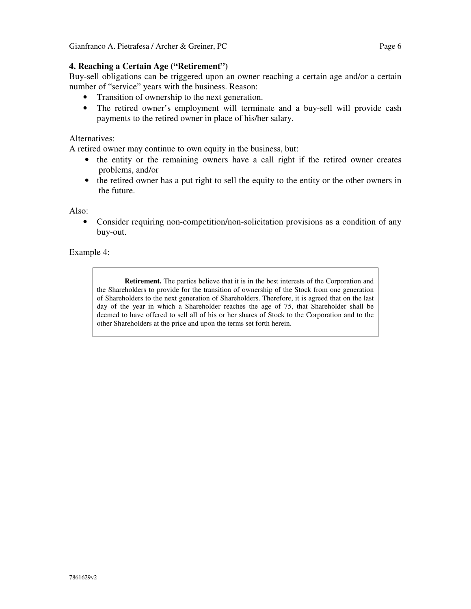### **4. Reaching a Certain Age ("Retirement")**

Buy-sell obligations can be triggered upon an owner reaching a certain age and/or a certain number of "service" years with the business. Reason:

- Transition of ownership to the next generation.
- The retired owner's employment will terminate and a buy-sell will provide cash payments to the retired owner in place of his/her salary.

### Alternatives:

A retired owner may continue to own equity in the business, but:

- the entity or the remaining owners have a call right if the retired owner creates problems, and/or
- the retired owner has a put right to sell the equity to the entity or the other owners in the future.

#### Also:

• Consider requiring non-competition/non-solicitation provisions as a condition of any buy-out.

Example 4:

**Retirement.** The parties believe that it is in the best interests of the Corporation and the Shareholders to provide for the transition of ownership of the Stock from one generation of Shareholders to the next generation of Shareholders. Therefore, it is agreed that on the last day of the year in which a Shareholder reaches the age of 75, that Shareholder shall be deemed to have offered to sell all of his or her shares of Stock to the Corporation and to the other Shareholders at the price and upon the terms set forth herein.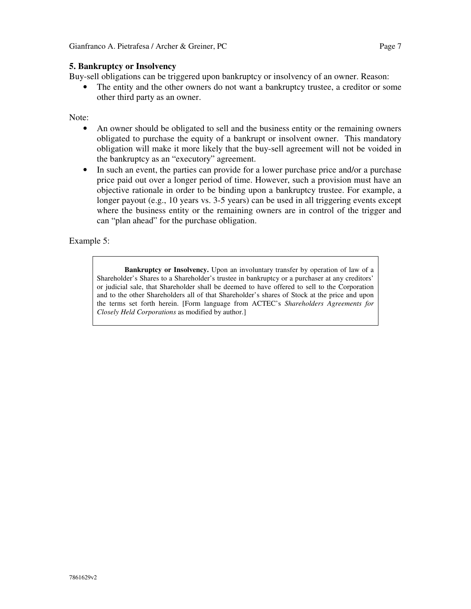#### **5. Bankruptcy or Insolvency**

Buy-sell obligations can be triggered upon bankruptcy or insolvency of an owner. Reason:

• The entity and the other owners do not want a bankruptcy trustee, a creditor or some other third party as an owner.

Note:

- An owner should be obligated to sell and the business entity or the remaining owners obligated to purchase the equity of a bankrupt or insolvent owner. This mandatory obligation will make it more likely that the buy-sell agreement will not be voided in the bankruptcy as an "executory" agreement.
- In such an event, the parties can provide for a lower purchase price and/or a purchase price paid out over a longer period of time. However, such a provision must have an objective rationale in order to be binding upon a bankruptcy trustee. For example, a longer payout (e.g., 10 years vs. 3-5 years) can be used in all triggering events except where the business entity or the remaining owners are in control of the trigger and can "plan ahead" for the purchase obligation.

Example 5:

**Bankruptcy or Insolvency.** Upon an involuntary transfer by operation of law of a Shareholder's Shares to a Shareholder's trustee in bankruptcy or a purchaser at any creditors' or judicial sale, that Shareholder shall be deemed to have offered to sell to the Corporation and to the other Shareholders all of that Shareholder's shares of Stock at the price and upon the terms set forth herein. [Form language from ACTEC's *Shareholders Agreements for Closely Held Corporations* as modified by author.]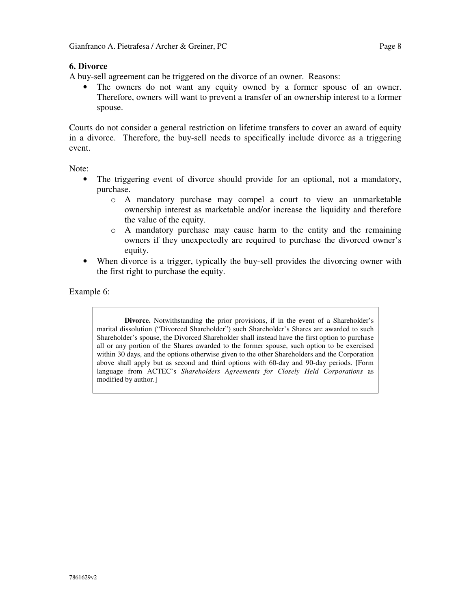### **6. Divorce**

A buy-sell agreement can be triggered on the divorce of an owner. Reasons:

• The owners do not want any equity owned by a former spouse of an owner. Therefore, owners will want to prevent a transfer of an ownership interest to a former spouse.

Courts do not consider a general restriction on lifetime transfers to cover an award of equity in a divorce. Therefore, the buy-sell needs to specifically include divorce as a triggering event.

Note:

- The triggering event of divorce should provide for an optional, not a mandatory, purchase.
	- o A mandatory purchase may compel a court to view an unmarketable ownership interest as marketable and/or increase the liquidity and therefore the value of the equity.
	- o A mandatory purchase may cause harm to the entity and the remaining owners if they unexpectedly are required to purchase the divorced owner's equity.
- When divorce is a trigger, typically the buy-sell provides the divorcing owner with the first right to purchase the equity.

Example 6:

**Divorce.** Notwithstanding the prior provisions, if in the event of a Shareholder's marital dissolution ("Divorced Shareholder") such Shareholder's Shares are awarded to such Shareholder's spouse, the Divorced Shareholder shall instead have the first option to purchase all or any portion of the Shares awarded to the former spouse, such option to be exercised within 30 days, and the options otherwise given to the other Shareholders and the Corporation above shall apply but as second and third options with 60-day and 90-day periods. [Form language from ACTEC's *Shareholders Agreements for Closely Held Corporations* as modified by author.]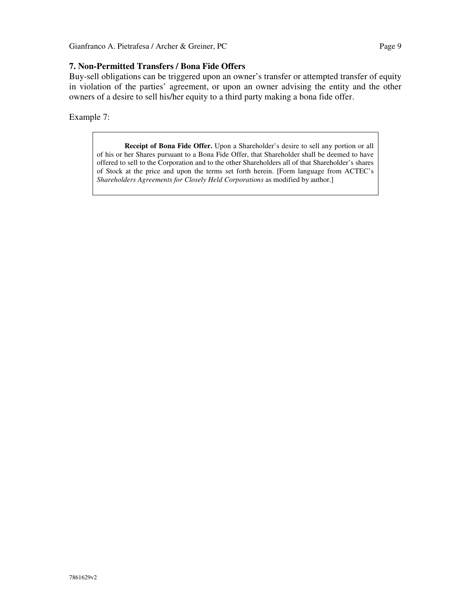#### **7. Non-Permitted Transfers / Bona Fide Offers**

Buy-sell obligations can be triggered upon an owner's transfer or attempted transfer of equity in violation of the parties' agreement, or upon an owner advising the entity and the other owners of a desire to sell his/her equity to a third party making a bona fide offer.

Example 7:

**Receipt of Bona Fide Offer.** Upon a Shareholder's desire to sell any portion or all of his or her Shares pursuant to a Bona Fide Offer, that Shareholder shall be deemed to have offered to sell to the Corporation and to the other Shareholders all of that Shareholder's shares of Stock at the price and upon the terms set forth herein. [Form language from ACTEC's *Shareholders Agreements for Closely Held Corporations* as modified by author.]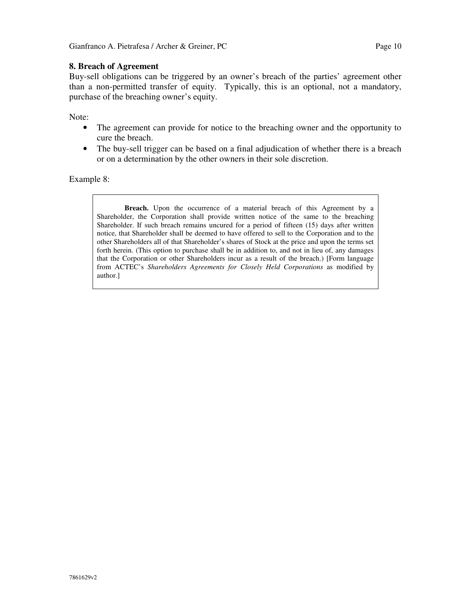## **8. Breach of Agreement**

Buy-sell obligations can be triggered by an owner's breach of the parties' agreement other than a non-permitted transfer of equity. Typically, this is an optional, not a mandatory, purchase of the breaching owner's equity.

Note:

- The agreement can provide for notice to the breaching owner and the opportunity to cure the breach.
- The buy-sell trigger can be based on a final adjudication of whether there is a breach or on a determination by the other owners in their sole discretion.

Example 8:

**Breach.** Upon the occurrence of a material breach of this Agreement by a Shareholder, the Corporation shall provide written notice of the same to the breaching Shareholder. If such breach remains uncured for a period of fifteen (15) days after written notice, that Shareholder shall be deemed to have offered to sell to the Corporation and to the other Shareholders all of that Shareholder's shares of Stock at the price and upon the terms set forth herein. (This option to purchase shall be in addition to, and not in lieu of, any damages that the Corporation or other Shareholders incur as a result of the breach.) [Form language from ACTEC's *Shareholders Agreements for Closely Held Corporations* as modified by author.]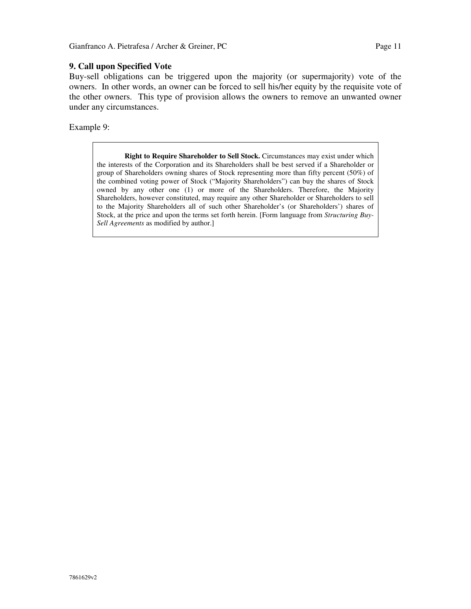### **9. Call upon Specified Vote**

Buy-sell obligations can be triggered upon the majority (or supermajority) vote of the owners. In other words, an owner can be forced to sell his/her equity by the requisite vote of the other owners. This type of provision allows the owners to remove an unwanted owner under any circumstances.

Example 9:

**Right to Require Shareholder to Sell Stock.** Circumstances may exist under which the interests of the Corporation and its Shareholders shall be best served if a Shareholder or group of Shareholders owning shares of Stock representing more than fifty percent (50%) of the combined voting power of Stock ("Majority Shareholders") can buy the shares of Stock owned by any other one (1) or more of the Shareholders. Therefore, the Majority Shareholders, however constituted, may require any other Shareholder or Shareholders to sell to the Majority Shareholders all of such other Shareholder's (or Shareholders') shares of Stock, at the price and upon the terms set forth herein. [Form language from *Structuring Buy-Sell Agreements* as modified by author.]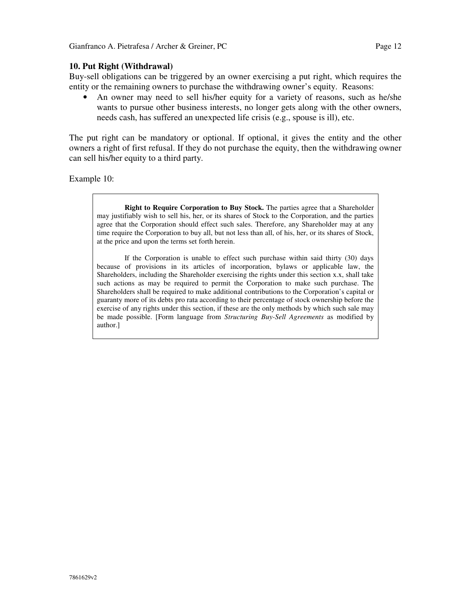### **10. Put Right (Withdrawal)**

Buy-sell obligations can be triggered by an owner exercising a put right, which requires the entity or the remaining owners to purchase the withdrawing owner's equity. Reasons:

• An owner may need to sell his/her equity for a variety of reasons, such as he/she wants to pursue other business interests, no longer gets along with the other owners, needs cash, has suffered an unexpected life crisis (e.g., spouse is ill), etc.

The put right can be mandatory or optional. If optional, it gives the entity and the other owners a right of first refusal. If they do not purchase the equity, then the withdrawing owner can sell his/her equity to a third party.

Example 10:

**Right to Require Corporation to Buy Stock.** The parties agree that a Shareholder may justifiably wish to sell his, her, or its shares of Stock to the Corporation, and the parties agree that the Corporation should effect such sales. Therefore, any Shareholder may at any time require the Corporation to buy all, but not less than all, of his, her, or its shares of Stock, at the price and upon the terms set forth herein.

If the Corporation is unable to effect such purchase within said thirty (30) days because of provisions in its articles of incorporation, bylaws or applicable law, the Shareholders, including the Shareholder exercising the rights under this section x.x, shall take such actions as may be required to permit the Corporation to make such purchase. The Shareholders shall be required to make additional contributions to the Corporation's capital or guaranty more of its debts pro rata according to their percentage of stock ownership before the exercise of any rights under this section, if these are the only methods by which such sale may be made possible. [Form language from *Structuring Buy-Sell Agreements* as modified by author.]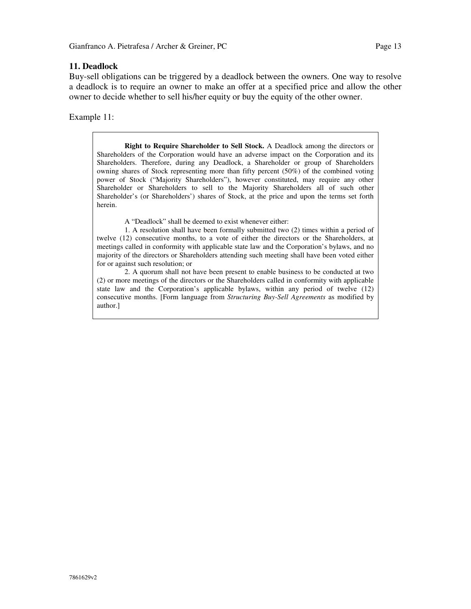#### **11. Deadlock**

Buy-sell obligations can be triggered by a deadlock between the owners. One way to resolve a deadlock is to require an owner to make an offer at a specified price and allow the other owner to decide whether to sell his/her equity or buy the equity of the other owner.

Example 11:

**Right to Require Shareholder to Sell Stock.** A Deadlock among the directors or Shareholders of the Corporation would have an adverse impact on the Corporation and its Shareholders. Therefore, during any Deadlock, a Shareholder or group of Shareholders owning shares of Stock representing more than fifty percent (50%) of the combined voting power of Stock ("Majority Shareholders"), however constituted, may require any other Shareholder or Shareholders to sell to the Majority Shareholders all of such other Shareholder's (or Shareholders') shares of Stock, at the price and upon the terms set forth herein.

A "Deadlock" shall be deemed to exist whenever either:

1. A resolution shall have been formally submitted two (2) times within a period of twelve (12) consecutive months, to a vote of either the directors or the Shareholders, at meetings called in conformity with applicable state law and the Corporation's bylaws, and no majority of the directors or Shareholders attending such meeting shall have been voted either for or against such resolution; or

2. A quorum shall not have been present to enable business to be conducted at two (2) or more meetings of the directors or the Shareholders called in conformity with applicable state law and the Corporation's applicable bylaws, within any period of twelve (12) consecutive months. [Form language from *Structuring Buy-Sell Agreements* as modified by author.]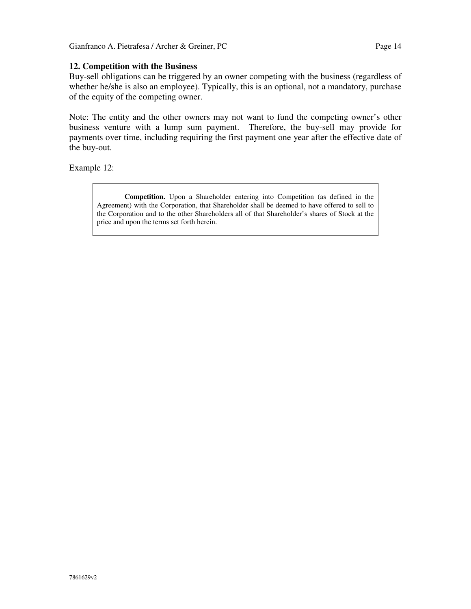### **12. Competition with the Business**

Buy-sell obligations can be triggered by an owner competing with the business (regardless of whether he/she is also an employee). Typically, this is an optional, not a mandatory, purchase of the equity of the competing owner.

Note: The entity and the other owners may not want to fund the competing owner's other business venture with a lump sum payment. Therefore, the buy-sell may provide for payments over time, including requiring the first payment one year after the effective date of the buy-out.

Example 12:

**Competition.** Upon a Shareholder entering into Competition (as defined in the Agreement) with the Corporation, that Shareholder shall be deemed to have offered to sell to the Corporation and to the other Shareholders all of that Shareholder's shares of Stock at the price and upon the terms set forth herein.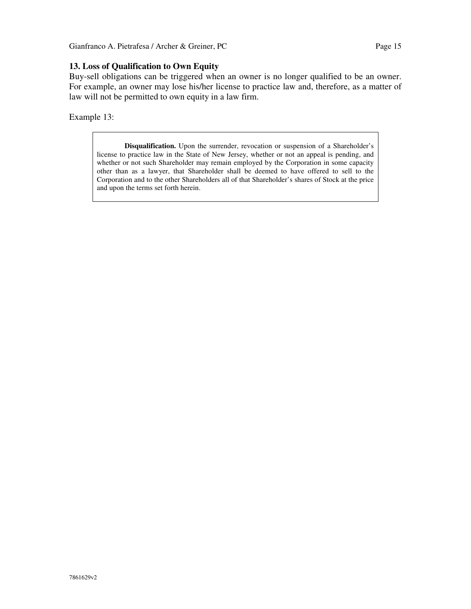## **13. Loss of Qualification to Own Equity**

Buy-sell obligations can be triggered when an owner is no longer qualified to be an owner. For example, an owner may lose his/her license to practice law and, therefore, as a matter of law will not be permitted to own equity in a law firm.

Example 13:

**Disqualification.** Upon the surrender, revocation or suspension of a Shareholder's license to practice law in the State of New Jersey, whether or not an appeal is pending, and whether or not such Shareholder may remain employed by the Corporation in some capacity other than as a lawyer, that Shareholder shall be deemed to have offered to sell to the Corporation and to the other Shareholders all of that Shareholder's shares of Stock at the price and upon the terms set forth herein.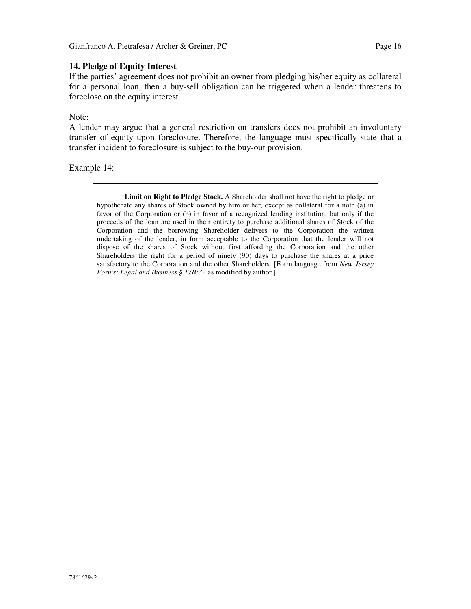### **14. Pledge of Equity Interest**

If the parties' agreement does not prohibit an owner from pledging his/her equity as collateral for a personal loan, then a buy-sell obligation can be triggered when a lender threatens to foreclose on the equity interest.

Note:

A lender may argue that a general restriction on transfers does not prohibit an involuntary transfer of equity upon foreclosure. Therefore, the language must specifically state that a transfer incident to foreclosure is subject to the buy-out provision.

Example 14:

**Limit on Right to Pledge Stock.** A Shareholder shall not have the right to pledge or hypothecate any shares of Stock owned by him or her, except as collateral for a note (a) in favor of the Corporation or (b) in favor of a recognized lending institution, but only if the proceeds of the loan are used in their entirety to purchase additional shares of Stock of the Corporation and the borrowing Shareholder delivers to the Corporation the written undertaking of the lender, in form acceptable to the Corporation that the lender will not dispose of the shares of Stock without first affording the Corporation and the other Shareholders the right for a period of ninety (90) days to purchase the shares at a price satisfactory to the Corporation and the other Shareholders. [Form language from *New Jersey Forms: Legal and Business § 17B:32* as modified by author.]